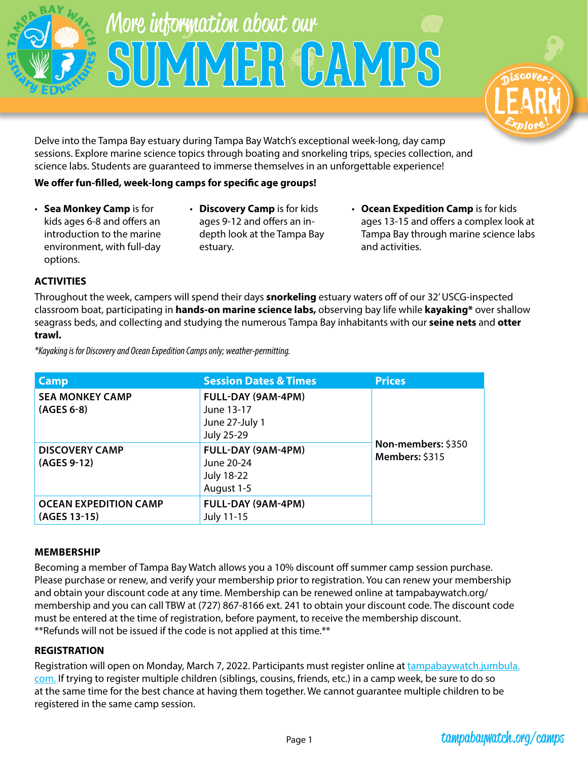



Delve into the Tampa Bay estuary during Tampa Bay Watch's exceptional week-long, day camp sessions. Explore marine science topics through boating and snorkeling trips, species collection, and science labs. Students are guaranteed to immerse themselves in an unforgettable experience!

## **We offer fun-filled, week-long camps for specific age groups!**

- **Sea Monkey Camp** is for kids ages 6-8 and offers an introduction to the marine environment, with full-day options.
- **Discovery Camp** is for kids ages 9-12 and offers an indepth look at the Tampa Bay estuary.
- **Ocean Expedition Camp** is for kids ages 13-15 and offers a complex look at Tampa Bay through marine science labs and activities.

### **ACTIVITIES**

Throughout the week, campers will spend their days **snorkeling** estuary waters off of our 32' USCG-inspected classroom boat, participating in **hands-on marine science labs,** observing bay life while **kayaking\*** over shallow seagrass beds, and collecting and studying the numerous Tampa Bay inhabitants with our **seine nets** and **otter trawl.**

| Camp                                         | <b>Session Dates &amp; Times</b>                                    | <b>Prices</b>                        |
|----------------------------------------------|---------------------------------------------------------------------|--------------------------------------|
| <b>SEA MONKEY CAMP</b><br>$(AGES 6-8)$       | FULL-DAY (9AM-4PM)<br>June 13-17<br>June 27-July 1<br>July 25-29    |                                      |
| <b>DISCOVERY CAMP</b><br>(AGES 9-12)         | FULL-DAY (9AM-4PM)<br>June 20-24<br><b>July 18-22</b><br>August 1-5 | Non-members: \$350<br>Members: \$315 |
| <b>OCEAN EXPEDITION CAMP</b><br>(AGES 13-15) | FULL-DAY (9AM-4PM)<br>July 11-15                                    |                                      |

*\*Kayaking is for Discovery and Ocean Expedition Camps only; weather-permitting.*

#### **MEMBERSHIP**

Becoming a member of Tampa Bay Watch allows you a 10% discount off summer camp session purchase. Please purchase or renew, and verify your membership prior to registration. You can renew your membership and obtain your discount code at any time. Membership can be renewed online at tampabaywatch.org/ membership and you can call TBW at (727) 867-8166 ext. 241 to obtain your discount code. The discount code must be entered at the time of registration, before payment, to receive the membership discount. \*\*Refunds will not be issued if the code is not applied at this time.\*\*

#### **REGISTRATION**

Registration will open on Monday, March 7, 2022. Participants must register online at [tampabaywatch.jumbula.](https://tampabaywatch.jumbula.com/#/summer-camp) [com](https://tampabaywatch.jumbula.com/#/summer-camp). If trying to register multiple children (siblings, cousins, friends, etc.) in a camp week, be sure to do so at the same time for the best chance at having them together. We cannot guarantee multiple children to be registered in the same camp session.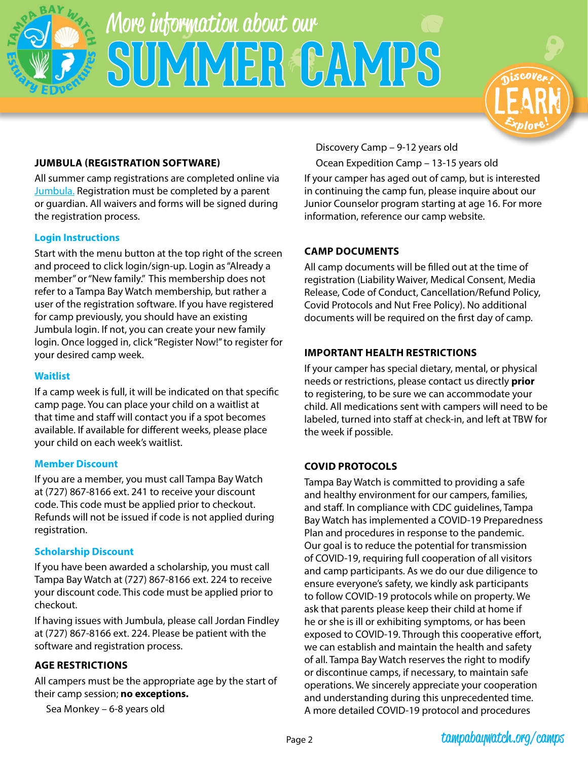



### **JUMBULA (REGISTRATION SOFTWARE)**

All summer camp registrations are completed online via [Jumbula.](https://tampabaywatch.jumbula.com/#/summer-camp) Registration must be completed by a parent or guardian. All waivers and forms will be signed during the registration process.

#### **Login Instructions**

Start with the menu button at the top right of the screen and proceed to click login/sign-up. Login as "Already a member" or "New family." This membership does not refer to a Tampa Bay Watch membership, but rather a user of the registration software. If you have registered for camp previously, you should have an existing Jumbula login. If not, you can create your new family login. Once logged in, click "Register Now!" to register for your desired camp week.

#### **Waitlist**

If a camp week is full, it will be indicated on that specific camp page. You can place your child on a waitlist at that time and staff will contact you if a spot becomes available. If available for different weeks, please place your child on each week's waitlist.

#### **Member Discount**

If you are a member, you must call Tampa Bay Watch at (727) 867-8166 ext. 241 to receive your discount code. This code must be applied prior to checkout. Refunds will not be issued if code is not applied during registration.

#### **Scholarship Discount**

If you have been awarded a scholarship, you must call Tampa Bay Watch at (727) 867-8166 ext. 224 to receive your discount code. This code must be applied prior to checkout.

If having issues with Jumbula, please call Jordan Findley at (727) 867-8166 ext. 224. Please be patient with the software and registration process.

#### **AGE RESTRICTIONS**

All campers must be the appropriate age by the start of their camp session; **no exceptions.** 

Sea Monkey – 6-8 years old

Discovery Camp – 9-12 years old

Ocean Expedition Camp – 13-15 years old

If your camper has aged out of camp, but is interested in continuing the camp fun, please inquire about our Junior Counselor program starting at age 16. For more information, reference our camp website.

### **CAMP DOCUMENTS**

All camp documents will be filled out at the time of registration (Liability Waiver, Medical Consent, Media Release, Code of Conduct, Cancellation/Refund Policy, Covid Protocols and Nut Free Policy). No additional documents will be required on the first day of camp.

#### **IMPORTANT HEALTH RESTRICTIONS**

If your camper has special dietary, mental, or physical needs or restrictions, please contact us directly **prior** to registering, to be sure we can accommodate your child. All medications sent with campers will need to be labeled, turned into staff at check-in, and left at TBW for the week if possible.

## **COVID PROTOCOLS**

Tampa Bay Watch is committed to providing a safe and healthy environment for our campers, families, and staff. In compliance with CDC guidelines, Tampa Bay Watch has implemented a COVID-19 Preparedness Plan and procedures in response to the pandemic. Our goal is to reduce the potential for transmission of COVID-19, requiring full cooperation of all visitors and camp participants. As we do our due diligence to ensure everyone's safety, we kindly ask participants to follow COVID-19 protocols while on property. We ask that parents please keep their child at home if he or she is ill or exhibiting symptoms, or has been exposed to COVID-19. Through this cooperative effort, we can establish and maintain the health and safety of all. Tampa Bay Watch reserves the right to modify or discontinue camps, if necessary, to maintain safe operations. We sincerely appreciate your cooperation and understanding during this unprecedented time. A more detailed COVID-19 protocol and procedures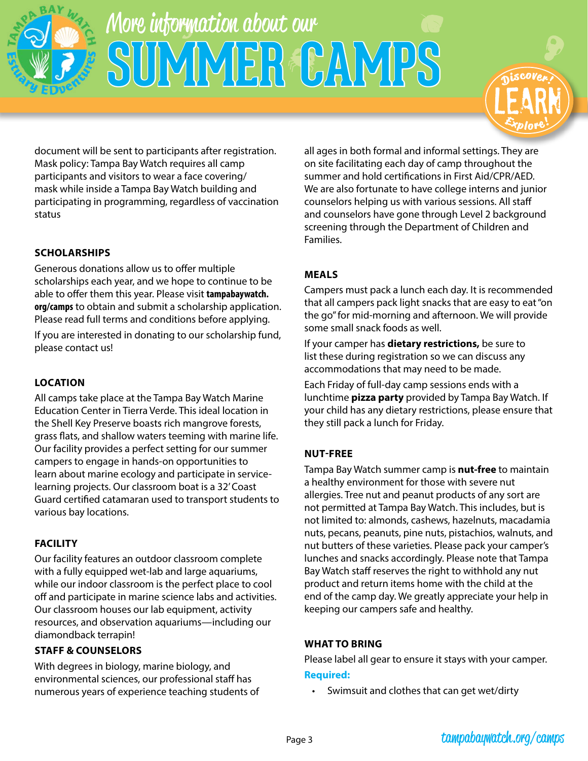



document will be sent to participants after registration. Mask policy: Tampa Bay Watch requires all camp participants and visitors to wear a face covering/ mask while inside a Tampa Bay Watch building and participating in programming, regardless of vaccination status

## **SCHOLARSHIPS**

Generous donations allow us to offer multiple scholarships each year, and we hope to continue to be able to offer them this year. Please visit **tampabaywatch. org/camps** to obtain and submit a scholarship application. Please read full terms and conditions before applying.

If you are interested in donating to our scholarship fund, please contact us!

## **LOCATION**

All camps take place at the Tampa Bay Watch Marine Education Center in Tierra Verde. This ideal location in the Shell Key Preserve boasts rich mangrove forests, grass flats, and shallow waters teeming with marine life. Our facility provides a perfect setting for our summer campers to engage in hands-on opportunities to learn about marine ecology and participate in servicelearning projects. Our classroom boat is a 32' Coast Guard certified catamaran used to transport students to various bay locations.

## **FACILITY**

Our facility features an outdoor classroom complete with a fully equipped wet-lab and large aquariums, while our indoor classroom is the perfect place to cool off and participate in marine science labs and activities. Our classroom houses our lab equipment, activity resources, and observation aquariums—including our diamondback terrapin!

## **STAFF & COUNSELORS**

With degrees in biology, marine biology, and environmental sciences, our professional staff has numerous years of experience teaching students of all ages in both formal and informal settings. They are on site facilitating each day of camp throughout the summer and hold certifications in First Aid/CPR/AED. We are also fortunate to have college interns and junior counselors helping us with various sessions. All staff and counselors have gone through Level 2 background screening through the Department of Children and Families.

## **MEALS**

Campers must pack a lunch each day. It is recommended that all campers pack light snacks that are easy to eat "on the go" for mid-morning and afternoon. We will provide some small snack foods as well.

If your camper has **dietary restrictions,** be sure to list these during registration so we can discuss any accommodations that may need to be made.

Each Friday of full-day camp sessions ends with a lunchtime **pizza party** provided by Tampa Bay Watch. If your child has any dietary restrictions, please ensure that they still pack a lunch for Friday.

## **NUT-FREE**

Tampa Bay Watch summer camp is **nut-free** to maintain a healthy environment for those with severe nut allergies. Tree nut and peanut products of any sort are not permitted at Tampa Bay Watch. This includes, but is not limited to: almonds, cashews, hazelnuts, macadamia nuts, pecans, peanuts, pine nuts, pistachios, walnuts, and nut butters of these varieties. Please pack your camper's lunches and snacks accordingly. Please note that Tampa Bay Watch staff reserves the right to withhold any nut product and return items home with the child at the end of the camp day. We greatly appreciate your help in keeping our campers safe and healthy.

#### **WHAT TO BRING**

Please label all gear to ensure it stays with your camper.

#### **Required:**

• Swimsuit and clothes that can get wet/dirty